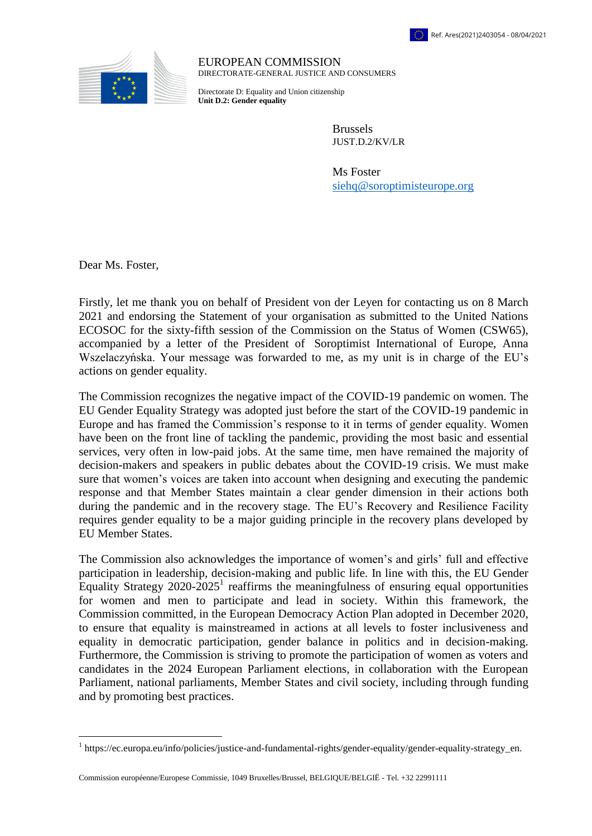

EUROPEAN COMMISSION DIRECTORATE-GENERAL JUSTICE AND CONSUMERS

Directorate D: Equality and Union citizenship **Unit D.2: Gender equality**

> Brussels JUST.D.2/KV/LR

Ms Foster [siehq@soroptimisteurope.org](mailto:siehq@soroptimisteurope.org)

Dear Ms. Foster,

 $\overline{a}$ 

Firstly, let me thank you on behalf of President von der Leyen for contacting us on 8 March 2021 and endorsing the Statement of your organisation as submitted to the United Nations ECOSOC for the sixty-fifth session of the Commission on the Status of Women (CSW65), accompanied by a letter of the President of Soroptimist International of Europe, Anna Wszelaczyńska. Your message was forwarded to me, as my unit is in charge of the EU's actions on gender equality.

The Commission recognizes the negative impact of the COVID-19 pandemic on women. The EU Gender Equality Strategy was adopted just before the start of the COVID-19 pandemic in Europe and has framed the Commission's response to it in terms of gender equality. Women have been on the front line of tackling the pandemic, providing the most basic and essential services, very often in low-paid jobs. At the same time, men have remained the majority of decision-makers and speakers in public debates about the COVID-19 crisis. We must make sure that women's voices are taken into account when designing and executing the pandemic response and that Member States maintain a clear gender dimension in their actions both during the pandemic and in the recovery stage. The EU's Recovery and Resilience Facility requires gender equality to be a major guiding principle in the recovery plans developed by EU Member States.

The Commission also acknowledges the importance of women's and girls' full and effective participation in leadership, decision-making and public life. In line with this, the EU Gender Equality Strategy 2020-2025<sup>1</sup> reaffirms the meaningfulness of ensuring equal opportunities for women and men to participate and lead in society. Within this framework, the Commission committed, in the European Democracy Action Plan adopted in December 2020, to ensure that equality is mainstreamed in actions at all levels to foster inclusiveness and equality in democratic participation, gender balance in politics and in decision-making. Furthermore, the Commission is striving to promote the participation of women as voters and candidates in the 2024 European Parliament elections, in collaboration with the European Parliament, national parliaments, Member States and civil society, including through funding and by promoting best practices.

Commission européenne/Europese Commissie, 1049 Bruxelles/Brussel, BELGIQUE/BELGIË - Tel. +32 22991111

<sup>&</sup>lt;sup>1</sup> https://ec.europa.eu/info/policies/justice-and-fundamental-rights/gender-equality/gender-equality-strategy\_en.